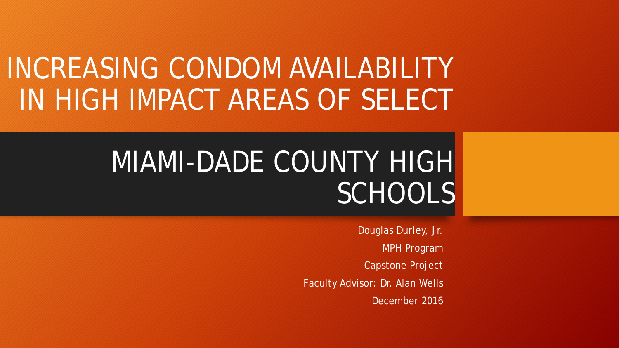## INCREASING CONDOM AVAILABILITY IN HIGH IMPACT AREAS OF SELECT

# MIAMI-DADE COUNTY HIGH **SCHOOLS**

Douglas Durley, Jr. MPH Program Capstone Project Faculty Advisor: Dr. Alan Wells December 2016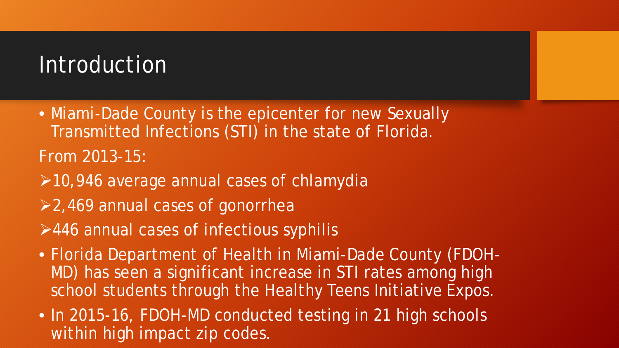#### Introduction

- Miami-Dade County is the epicenter for new Sexually Transmitted Infections (STI) in the state of Florida. From 2013-15:
- ▶ 10,946 average annual cases of chlamydia
- 2,469 annual cases of gonorrhea
- $\geq$ 446 annual cases of infectious syphilis
- Florida Department of Health in Miami-Dade County (FDOH-MD) has seen a significant increase in STI rates among high school students through the Healthy Teens Initiative Expos.
- In 2015-16, FDOH-MD conducted testing in 21 high schools within high impact zip codes.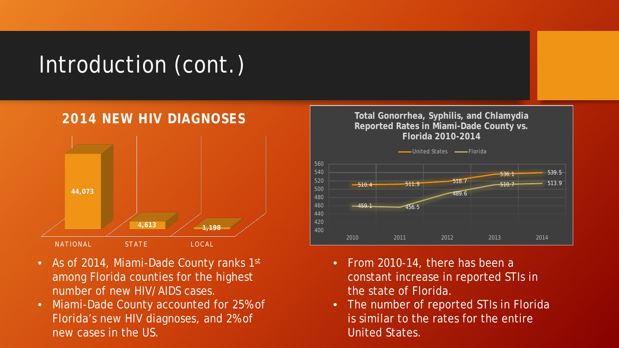## Introduction (cont.)

#### **2014 NEW HIV DIAGNOSES**



- As of 2014, Miami-Dade County ranks 1st among Florida counties for the highest number of new HIV/AIDS cases.
- Miami-Dade County accounted for 25% of Florida's new HIV diagnoses, and 2% of new cases in the US.



- From 2010-14, there has been a constant increase in reported STIs in the state of Florida.
- The number of reported STIs in Florida is similar to the rates for the entire United States.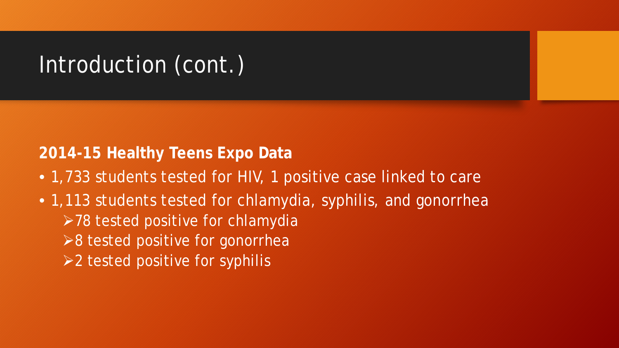## Introduction (cont.)

#### **2014-15 Healthy Teens Expo Data**

- 1,733 students tested for HIV, 1 positive case linked to care
- 1,113 students tested for chlamydia, syphilis, and gonorrhea  $>78$  tested positive for chlamydia  $\geq 8$  tested positive for gonorrhea  $\geq$  2 tested positive for syphilis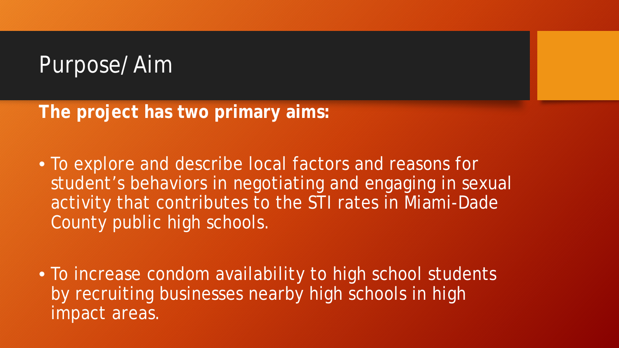#### Purpose/Aim

**The project has two primary aims:** 

- To explore and describe local factors and reasons for student's behaviors in negotiating and engaging in sexual activity that contributes to the STI rates in Miami-Dade County public high schools.
- To increase condom availability to high school students by recruiting businesses nearby high schools in high impact areas.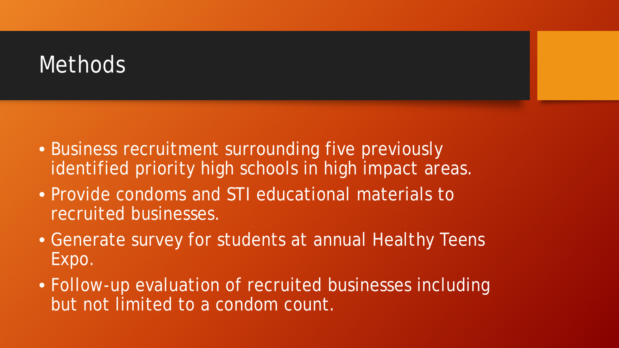#### **Methods**

- Business recruitment surrounding five previously identified priority high schools in high impact areas.
- Provide condoms and STI educational materials to recruited businesses.
- Generate survey for students at annual Healthy Teens Expo.
- Follow-up evaluation of recruited businesses including but not limited to a condom count.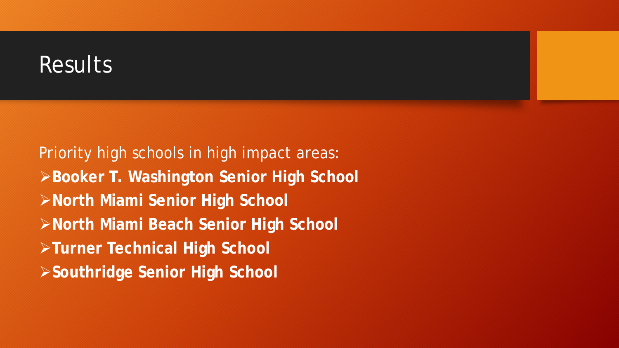#### Results

Priority high schools in high impact areas: **Booker T. Washington Senior High School North Miami Senior High School North Miami Beach Senior High School Turner Technical High School Southridge Senior High School**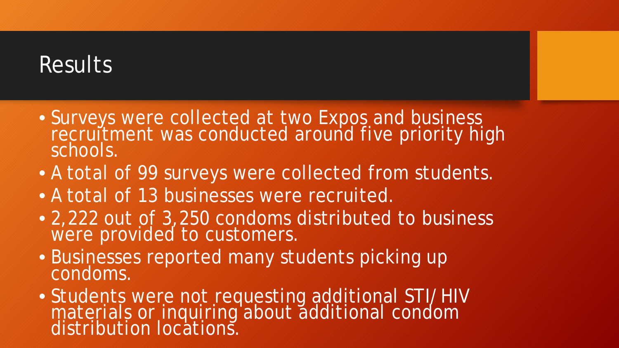#### Results

- Surveys were collected at two Expos and business recruitment was conducted around five priority high schools.
- A total of 99 surveys were collected from students.
- A total of 13 businesses were recruited.
- 2,222 out of 3,250 condoms distributed to business were provided to customers.
- Businesses reported many students picking up condoms.
- Students were not requesting additional STI/HIV materials or inquiring about additional condom distribution locations.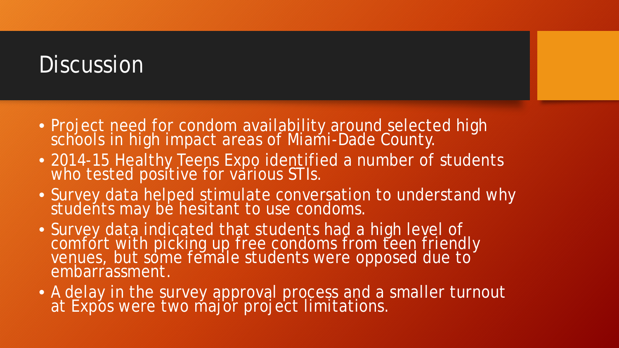#### **Discussion**

- Project need for condom availability around selected high schools in high impact areas of Miami-Dade County.
- 2014-15 Healthy Teens Expo identified a number of students who tested positive for various STIs.
- Survey data helped stimulate conversation to understand why students may be hesitant to use condoms.
- Survey data indicated that students had a high level of comfort with picking up free condoms from teen friendly venues, but some female students were opposed due to<sup>o</sup><br>embarrassment.
- A delay in the survey approval process and a smaller turnout at Expos were two major project limitations.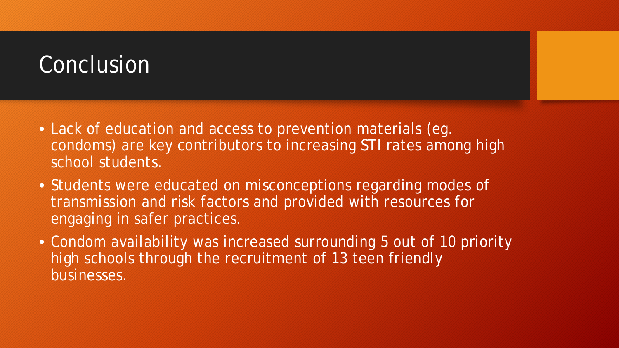### Conclusion

- Lack of education and access to prevention materials (eg. condoms) are key contributors to increasing STI rates among high school students.
- Students were educated on misconceptions regarding modes of transmission and risk factors and provided with resources for engaging in safer practices.
- Condom availability was increased surrounding 5 out of 10 priority high schools through the recruitment of 13 teen friendly businesses.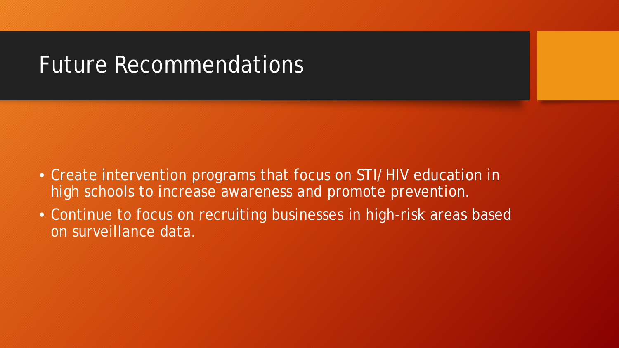#### Future Recommendations

- Create intervention programs that focus on STI/HIV education in high schools to increase awareness and promote prevention.
- Continue to focus on recruiting businesses in high-risk areas based on surveillance data.